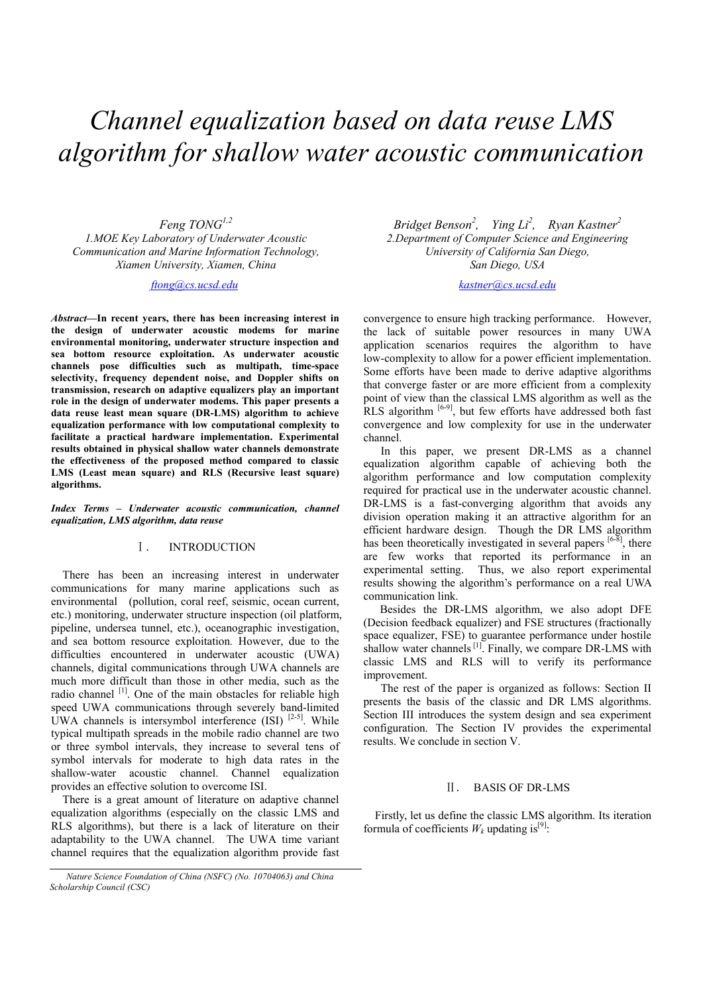# *Channel equalization based on data reuse LMS algorithm for shallow water acoustic communication*

*Feng TONG1,2* 

*1.MOE Key Laboratory of Underwater Acoustic Communication and Marine Information Technology, Xiamen University, Xiamen, China*

## *ftong@cs.ucsd.edu*

*Abstract***—In recent years, there has been increasing interest in the design of underwater acoustic modems for marine environmental monitoring, underwater structure inspection and sea bottom resource exploitation. As underwater acoustic channels pose difficulties such as multipath, time-space selectivity, frequency dependent noise, and Doppler shifts on transmission, research on adaptive equalizers play an important role in the design of underwater modems. This paper presents a data reuse least mean square (DR-LMS) algorithm to achieve equalization performance with low computational complexity to facilitate a practical hardware implementation. Experimental results obtained in physical shallow water channels demonstrate the effectiveness of the proposed method compared to classic LMS (Least mean square) and RLS (Recursive least square) algorithms.** 

*Index Terms – Underwater acoustic communication, channel equalization, LMS algorithm, data reuse*

## I. INTRODUCTION

There has been an increasing interest in underwater communications for many marine applications such as environmental (pollution, coral reef, seismic, ocean current, etc.) monitoring, underwater structure inspection (oil platform, pipeline, undersea tunnel, etc.), oceanographic investigation, and sea bottom resource exploitation*.* However, due to the difficulties encountered in underwater acoustic (UWA) channels, digital communications through UWA channels are much more difficult than those in other media, such as the radio channel [1]. One of the main obstacles for reliable high speed UWA communications through severely band-limited UWA channels is intersymbol interference (ISI) [2-5]. While typical multipath spreads in the mobile radio channel are two or three symbol intervals, they increase to several tens of symbol intervals for moderate to high data rates in the shallow-water acoustic channel. Channel equalization provides an effective solution to overcome ISI.

There is a great amount of literature on adaptive channel equalization algorithms (especially on the classic LMS and RLS algorithms), but there is a lack of literature on their adaptability to the UWA channel. The UWA time variant channel requires that the equalization algorithm provide fast

*Bridget Benson<sup>2</sup>, Ying Li<sup>2</sup>, Ryan Kastner<sup>2</sup> 2.Department of Computer Science and Engineering University of California San Diego, San Diego, USA*

*kastner@cs.ucsd.edu* 

convergence to ensure high tracking performance. However, the lack of suitable power resources in many UWA application scenarios requires the algorithm to have low-complexity to allow for a power efficient implementation. Some efforts have been made to derive adaptive algorithms that converge faster or are more efficient from a complexity point of view than the classical LMS algorithm as well as the RLS algorithm  $[6-9]$ , but few efforts have addressed both fast convergence and low complexity for use in the underwater channel.

In this paper, we present DR-LMS as a channel equalization algorithm capable of achieving both the algorithm performance and low computation complexity required for practical use in the underwater acoustic channel. DR-LMS is a fast-converging algorithm that avoids any division operation making it an attractive algorithm for an efficient hardware design. Though the DR LMS algorithm has been theoretically investigated in several papers  $[6-8]$ , there are few works that reported its performance in an experimental setting. Thus, we also report experimental results showing the algorithm's performance on a real UWA communication link.

Besides the DR-LMS algorithm, we also adopt DFE (Decision feedback equalizer) and FSE structures (fractionally space equalizer, FSE) to guarantee performance under hostile shallow water channels <sup>[1]</sup>. Finally, we compare DR-LMS with classic LMS and RLS will to verify its performance improvement.

The rest of the paper is organized as follows: Section II presents the basis of the classic and DR LMS algorithms. Section III introduces the system design and sea experiment configuration. The Section IV provides the experimental results. We conclude in section V.

#### II. BASIS OF DR-LMS

Firstly, let us define the classic LMS algorithm. Its iteration formula of coefficients  $W_k$  updating is<sup>[9]</sup>:

*Nature Science Foundation of China (NSFC) (No. 10704063) and China Scholarship Council (CSC)*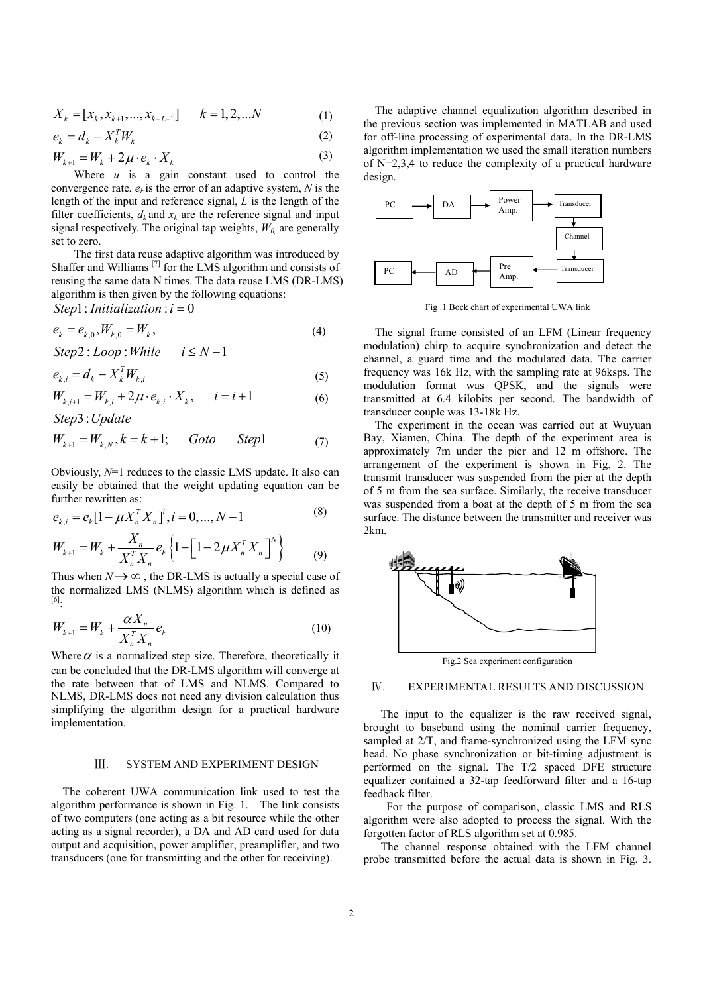$$
X_k = [x_k, x_{k+1}, \dots, x_{k+L-1}] \qquad k = 1, 2, \dots N \tag{1}
$$

$$
e_k = d_k - X_k^T W_k \tag{2}
$$

$$
W_{k+1} = W_k + 2\mu \cdot e_k \cdot X_k \tag{3}
$$

Where *u* is a gain constant used to control the convergence rate,  $e_k$  is the error of an adaptive system, N is the length of the input and reference signal, *L* is the length of the filter coefficients,  $d_k$  and  $x_k$  are the reference signal and input signal respectively. The original tap weights,  $W_0$  are generally set to zero.

The first data reuse adaptive algorithm was introduced by Shaffer and Williams [7] for the LMS algorithm and consists of reusing the same data N times. The data reuse LMS (DR-LMS) algorithm is then given by the following equations:

Step1: *Initialization* : 
$$
i = 0
$$

$$
e_k = e_{k,0}, W_{k,0} = W_k,
$$
  
Step 2: 
$$
I \text{ on } W \text{ while } \quad i < N - 1
$$
 (4)

Step 2: Loop : While 
$$
i \leq N-1
$$

$$
e_{k,i} = d_k - X_k^T W_{k,i}
$$
  
\n
$$
W_{k,i+1} = W_{k,i} + 2\mu \cdot e_{k,i} \cdot X_k, \qquad i = i+1
$$
\n(6)

 $(5)$ 

Step3: *Update* 

$$
W_{k+1} = W_{k,N}, k = k+1; \qquad Goto \qquad Step 1 \tag{7}
$$

Obviously, *N*=1 reduces to the classic LMS update. It also can easily be obtained that the weight updating equation can be further rewritten as:

$$
e_{k,i} = e_k[1 - \mu X_n^T X_n]^i, i = 0, ..., N - 1
$$
\n(8)

$$
W_{k+1} = W_k + \frac{X_n}{X_n^T X_n} e_k \left\{ 1 - \left[ 1 - 2\mu X_n^T X_n \right]^N \right\}
$$
 (9)

Thus when  $N \rightarrow \infty$ , the DR-LMS is actually a special case of the normalized LMS (NLMS) algorithm which is defined as [6]:

$$
W_{k+1} = W_k + \frac{\alpha X_n}{X_n^T X_n} e_k
$$
\n(10)

Where  $\alpha$  is a normalized step size. Therefore, theoretically it can be concluded that the DR-LMS algorithm will converge at the rate between that of LMS and NLMS. Compared to NLMS, DR-LMS does not need any division calculation thus simplifying the algorithm design for a practical hardware implementation.

#### III. SYSTEM AND EXPERIMENT DESIGN

The coherent UWA communication link used to test the algorithm performance is shown in Fig. 1. The link consists of two computers (one acting as a bit resource while the other acting as a signal recorder), a DA and AD card used for data output and acquisition, power amplifier, preamplifier, and two transducers (one for transmitting and the other for receiving).

The adaptive channel equalization algorithm described in the previous section was implemented in MATLAB and used for off-line processing of experimental data. In the DR-LMS algorithm implementation we used the small iteration numbers of N=2,3,4 to reduce the complexity of a practical hardware design.



Fig .1 Bock chart of experimental UWA link

The signal frame consisted of an LFM (Linear frequency modulation) chirp to acquire synchronization and detect the channel, a guard time and the modulated data. The carrier frequency was 16k Hz, with the sampling rate at 96ksps. The modulation format was QPSK, and the signals were transmitted at 6.4 kilobits per second. The bandwidth of transducer couple was 13-18k Hz.

 The experiment in the ocean was carried out at Wuyuan Bay, Xiamen, China. The depth of the experiment area is approximately 7m under the pier and 12 m offshore. The arrangement of the experiment is shown in Fig. 2. The transmit transducer was suspended from the pier at the depth of 5 m from the sea surface. Similarly, the receive transducer was suspended from a boat at the depth of 5 m from the sea surface. The distance between the transmitter and receiver was 2km.



## IV. EXPERIMENTAL RESULTS AND DISCUSSION

 The input to the equalizer is the raw received signal, brought to baseband using the nominal carrier frequency, sampled at 2/T, and frame-synchronized using the LFM sync head. No phase synchronization or bit-timing adjustment is performed on the signal. The T/2 spaced DFE structure equalizer contained a 32-tap feedforward filter and a 16-tap feedback filter.

 For the purpose of comparison, classic LMS and RLS algorithm were also adopted to process the signal. With the forgotten factor of RLS algorithm set at 0.985.

 The channel response obtained with the LFM channel probe transmitted before the actual data is shown in Fig. 3.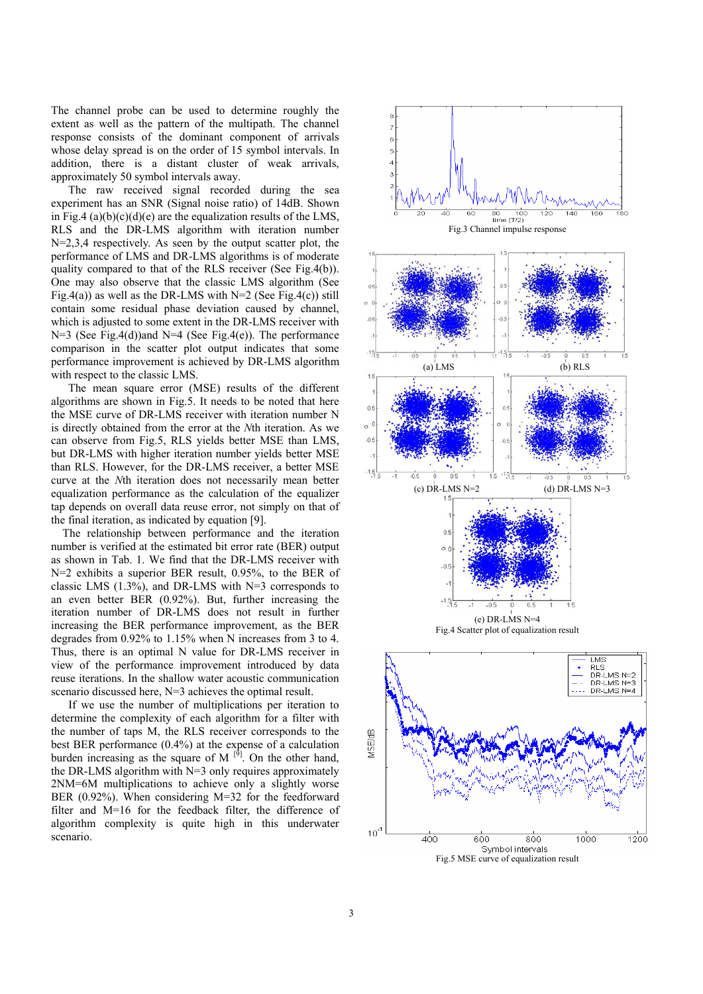The channel probe can be used to determine roughly the extent as well as the pattern of the multipath. The channel response consists of the dominant component of arrivals whose delay spread is on the order of 15 symbol intervals. In addition, there is a distant cluster of weak arrivals, approximately 50 symbol intervals away.

 The raw received signal recorded during the sea experiment has an SNR (Signal noise ratio) of 14dB. Shown in Fig.4 (a)(b)(c)(d)(e) are the equalization results of the LMS, RLS and the DR-LMS algorithm with iteration number N=2,3,4 respectively. As seen by the output scatter plot, the performance of LMS and DR-LMS algorithms is of moderate quality compared to that of the RLS receiver (See Fig.4(b)). One may also observe that the classic LMS algorithm (See Fig.4(a)) as well as the DR-LMS with  $N=2$  (See Fig.4(c)) still contain some residual phase deviation caused by channel, which is adjusted to some extent in the DR-LMS receiver with  $N=3$  (See Fig.4(d))and  $N=4$  (See Fig.4(e)). The performance comparison in the scatter plot output indicates that some performance improvement is achieved by DR-LMS algorithm with respect to the classic LMS.

 The mean square error (MSE) results of the different algorithms are shown in Fig.5. It needs to be noted that here the MSE curve of DR-LMS receiver with iteration number N is directly obtained from the error at the *N*th iteration. As we can observe from Fig.5, RLS yields better MSE than LMS, but DR-LMS with higher iteration number yields better MSE than RLS. However, for the DR-LMS receiver, a better MSE curve at the *N*th iteration does not necessarily mean better equalization performance as the calculation of the equalizer tap depends on overall data reuse error, not simply on that of the final iteration, as indicated by equation [9].

 The relationship between performance and the iteration number is verified at the estimated bit error rate (BER) output as shown in Tab. 1. We find that the DR-LMS receiver with N=2 exhibits a superior BER result, 0.95%, to the BER of classic LMS (1.3%), and DR-LMS with N=3 corresponds to an even better BER (0.92%). But, further increasing the iteration number of DR-LMS does not result in further increasing the BER performance improvement, as the BER degrades from 0.92% to 1.15% when N increases from 3 to 4. Thus, there is an optimal N value for DR-LMS receiver in view of the performance improvement introduced by data reuse iterations. In the shallow water acoustic communication scenario discussed here, N=3 achieves the optimal result.

 If we use the number of multiplications per iteration to determine the complexity of each algorithm for a filter with the number of taps M, the RLS receiver corresponds to the best BER performance (0.4%) at the expense of a calculation burden increasing as the square of M  $^{[9]}$ . On the other hand, the DR-LMS algorithm with N=3 only requires approximately 2NM=6M multiplications to achieve only a slightly worse BER (0.92%). When considering M=32 for the feedforward filter and M=16 for the feedback filter, the difference of algorithm complexity is quite high in this underwater scenario.